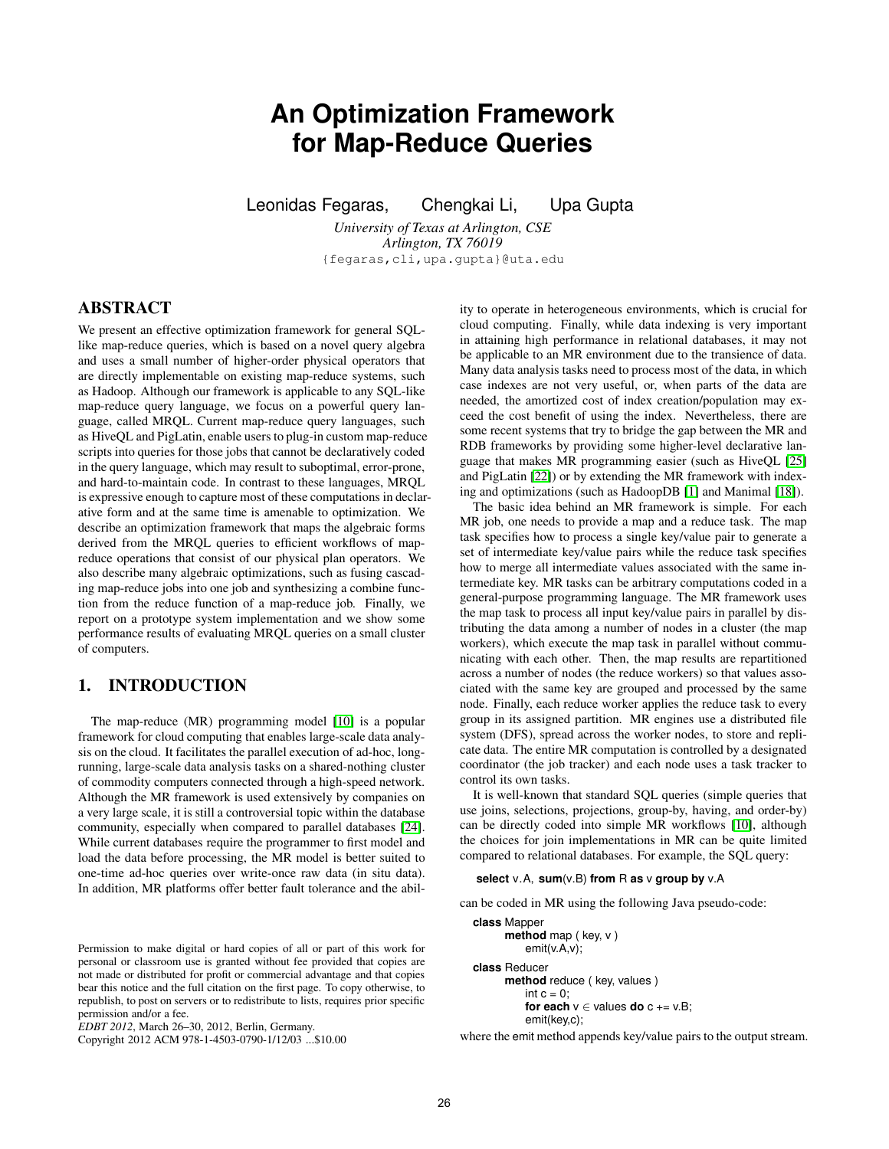# <span id="page-0-0"></span>**An Optimization Framework for Map-Reduce Queries**

Leonidas Fegaras, Chengkai Li, Upa Gupta

*University of Texas at Arlington, CSE Arlington, TX 76019* {fegaras,cli,upa.gupta}@uta.edu

# **ABSTRACT**

We present an effective optimization framework for general SQLlike map-reduce queries, which is based on a novel query algebra and uses a small number of higher-order physical operators that are directly implementable on existing map-reduce systems, such as Hadoop. Although our framework is applicable to any SQL-like map-reduce query language, we focus on a powerful query language, called MRQL. Current map-reduce query languages, such as HiveQL and PigLatin, enable users to plug-in custom map-reduce scripts into queries for those jobs that cannot be declaratively coded in the query language, which may result to suboptimal, error-prone, and hard-to-maintain code. In contrast to these languages, MRQL is expressive enough to capture most of these computations in declarative form and at the same time is amenable to optimization. We describe an optimization framework that maps the algebraic forms derived from the MRQL queries to efficient workflows of mapreduce operations that consist of our physical plan operators. We also describe many algebraic optimizations, such as fusing cascading map-reduce jobs into one job and synthesizing a combine function from the reduce function of a map-reduce job. Finally, we report on a prototype system implementation and we show some performance results of evaluating MRQL queries on a small cluster of computers.

# **1. INTRODUCTION**

The map-reduce (MR) programming model [\[10\]](#page-11-0) is a popular framework for cloud computing that enables large-scale data analysis on the cloud. It facilitates the parallel execution of ad-hoc, longrunning, large-scale data analysis tasks on a shared-nothing cluster of commodity computers connected through a high-speed network. Although the MR framework is used extensively by companies on a very large scale, it is still a controversial topic within the database community, especially when compared to parallel databases [\[24\]](#page-11-0). While current databases require the programmer to first model and load the data before processing, the MR model is better suited to one-time ad-hoc queries over write-once raw data (in situ data). In addition, MR platforms offer better fault tolerance and the abil-

Permission to make digital or hard copies of all or part of this work for personal or classroom use is granted without fee provided that copies are not made or distributed for profit or commercial advantage and that copies bear this notice and the full citation on the first page. To copy otherwise, to republish, to post on servers or to redistribute to lists, requires prior specific permission and/or a fee.

*EDBT 2012*, March 26–30, 2012, Berlin, Germany.

Copyright 2012 ACM 978-1-4503-0790-1/12/03 ...\$10.00

ity to operate in heterogeneous environments, which is crucial for cloud computing. Finally, while data indexing is very important in attaining high performance in relational databases, it may not be applicable to an MR environment due to the transience of data. Many data analysis tasks need to process most of the data, in which case indexes are not very useful, or, when parts of the data are needed, the amortized cost of index creation/population may exceed the cost benefit of using the index. Nevertheless, there are some recent systems that try to bridge the gap between the MR and RDB frameworks by providing some higher-level declarative language that makes MR programming easier (such as HiveQL [\[25\]](#page-11-0) and PigLatin [\[22\]](#page-11-0)) or by extending the MR framework with indexing and optimizations (such as HadoopDB [\[1\]](#page-11-0) and Manimal [\[18\]](#page-11-0)).

The basic idea behind an MR framework is simple. For each MR job, one needs to provide a map and a reduce task. The map task specifies how to process a single key/value pair to generate a set of intermediate key/value pairs while the reduce task specifies how to merge all intermediate values associated with the same intermediate key. MR tasks can be arbitrary computations coded in a general-purpose programming language. The MR framework uses the map task to process all input key/value pairs in parallel by distributing the data among a number of nodes in a cluster (the map workers), which execute the map task in parallel without communicating with each other. Then, the map results are repartitioned across a number of nodes (the reduce workers) so that values associated with the same key are grouped and processed by the same node. Finally, each reduce worker applies the reduce task to every group in its assigned partition. MR engines use a distributed file system (DFS), spread across the worker nodes, to store and replicate data. The entire MR computation is controlled by a designated coordinator (the job tracker) and each node uses a task tracker to control its own tasks.

It is well-known that standard SQL queries (simple queries that use joins, selections, projections, group-by, having, and order-by) can be directly coded into simple MR workflows [\[10\]](#page-11-0), although the choices for join implementations in MR can be quite limited compared to relational databases. For example, the SQL query:

### **select** v.A, **sum**(v.B) **from** R **as** v **group by** v.A

can be coded in MR using the following Java pseudo-code:

```
class Mapper
      method map ( key, v )
          emit(v.A,v);
class Reducer
      method reduce ( key, values )
          int c = 0:
          for each v ∈ values do c += v.B;
          emit(key,c);
```
where the emit method appends key/value pairs to the output stream.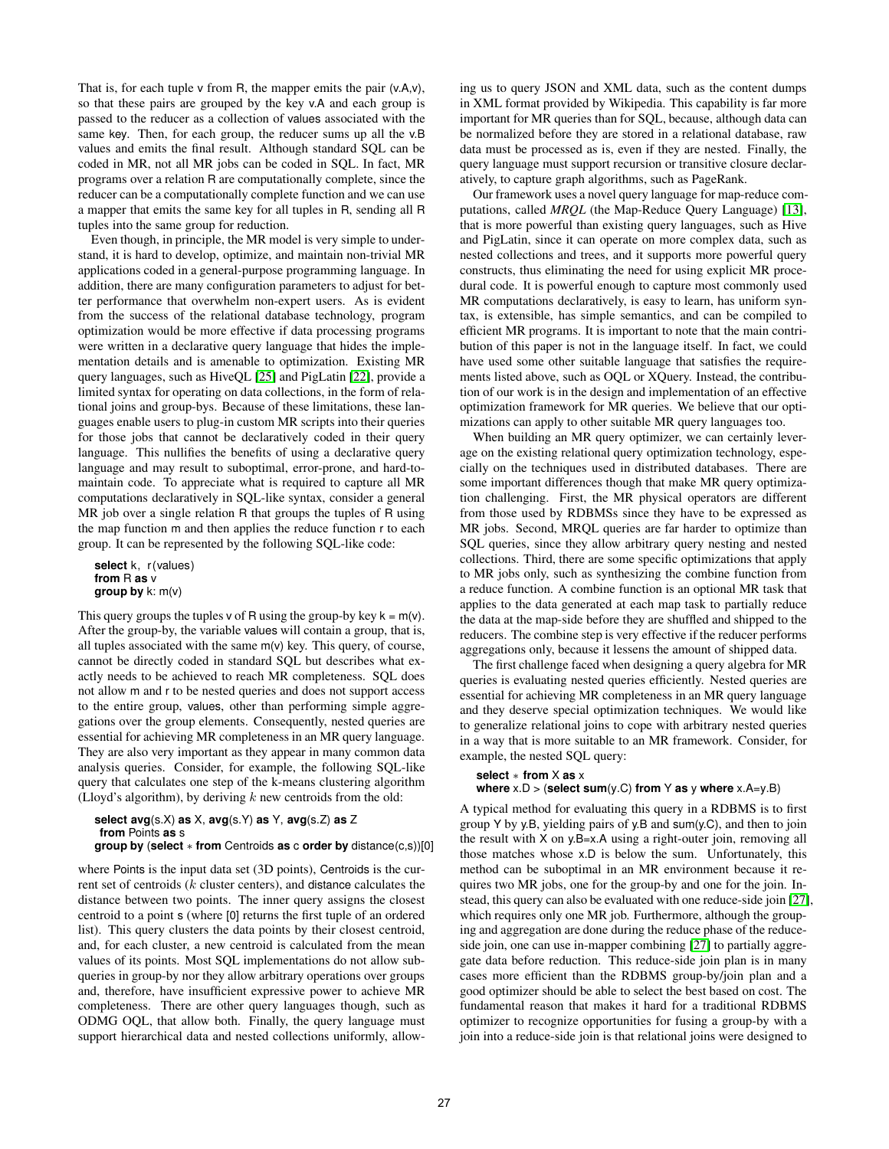That is, for each tuple  $\nu$  from R, the mapper emits the pair  $(\nu.A, \nu)$ , so that these pairs are grouped by the key v.A and each group is passed to the reducer as a collection of values associated with the same key. Then, for each group, the reducer sums up all the v.B values and emits the final result. Although standard SQL can be coded in MR, not all MR jobs can be coded in SQL. In fact, MR programs over a relation R are computationally complete, since the reducer can be a computationally complete function and we can use a mapper that emits the same key for all tuples in R, sending all R tuples into the same group for reduction.

Even though, in principle, the MR model is very simple to understand, it is hard to develop, optimize, and maintain non-trivial MR applications coded in a general-purpose programming language. In addition, there are many configuration parameters to adjust for better performance that overwhelm non-expert users. As is evident from the success of the relational database technology, program optimization would be more effective if data processing programs were written in a declarative query language that hides the implementation details and is amenable to optimization. Existing MR query languages, such as HiveQL [\[25\]](#page-11-0) and PigLatin [\[22\]](#page-11-0), provide a limited syntax for operating on data collections, in the form of relational joins and group-bys. Because of these limitations, these languages enable users to plug-in custom MR scripts into their queries for those jobs that cannot be declaratively coded in their query language. This nullifies the benefits of using a declarative query language and may result to suboptimal, error-prone, and hard-tomaintain code. To appreciate what is required to capture all MR computations declaratively in SQL-like syntax, consider a general MR job over a single relation R that groups the tuples of R using the map function m and then applies the reduce function r to each group. It can be represented by the following SQL-like code:

**select** k, r(values) **from** R **as** v **group by** k: m(v)

This query groups the tuples  $v$  of R using the group-by key  $k = m(v)$ . After the group-by, the variable values will contain a group, that is, all tuples associated with the same  $m(v)$  key. This query, of course, cannot be directly coded in standard SQL but describes what exactly needs to be achieved to reach MR completeness. SQL does not allow m and r to be nested queries and does not support access to the entire group, values, other than performing simple aggregations over the group elements. Consequently, nested queries are essential for achieving MR completeness in an MR query language. They are also very important as they appear in many common data analysis queries. Consider, for example, the following SQL-like query that calculates one step of the k-means clustering algorithm (Lloyd's algorithm), by deriving  $k$  new centroids from the old:

```
select avg(s.X) as X, avg(s.Y) as Y, avg(s.Z) as Z
from Points as s
group by (select ∗ from Centroids as c order by distance(c,s))[0]
```
where Points is the input data set (3D points), Centroids is the current set of centroids (k cluster centers), and distance calculates the distance between two points. The inner query assigns the closest centroid to a point s (where [0] returns the first tuple of an ordered list). This query clusters the data points by their closest centroid, and, for each cluster, a new centroid is calculated from the mean values of its points. Most SQL implementations do not allow subqueries in group-by nor they allow arbitrary operations over groups and, therefore, have insufficient expressive power to achieve MR completeness. There are other query languages though, such as ODMG OQL, that allow both. Finally, the query language must support hierarchical data and nested collections uniformly, allowing us to query JSON and XML data, such as the content dumps in XML format provided by Wikipedia. This capability is far more important for MR queries than for SQL, because, although data can be normalized before they are stored in a relational database, raw data must be processed as is, even if they are nested. Finally, the query language must support recursion or transitive closure declaratively, to capture graph algorithms, such as PageRank.

Our framework uses a novel query language for map-reduce computations, called *MRQL* (the Map-Reduce Query Language) [\[13\]](#page-11-0), that is more powerful than existing query languages, such as Hive and PigLatin, since it can operate on more complex data, such as nested collections and trees, and it supports more powerful query constructs, thus eliminating the need for using explicit MR procedural code. It is powerful enough to capture most commonly used MR computations declaratively, is easy to learn, has uniform syntax, is extensible, has simple semantics, and can be compiled to efficient MR programs. It is important to note that the main contribution of this paper is not in the language itself. In fact, we could have used some other suitable language that satisfies the requirements listed above, such as OQL or XQuery. Instead, the contribution of our work is in the design and implementation of an effective optimization framework for MR queries. We believe that our optimizations can apply to other suitable MR query languages too.

When building an MR query optimizer, we can certainly leverage on the existing relational query optimization technology, especially on the techniques used in distributed databases. There are some important differences though that make MR query optimization challenging. First, the MR physical operators are different from those used by RDBMSs since they have to be expressed as MR jobs. Second, MRQL queries are far harder to optimize than SQL queries, since they allow arbitrary query nesting and nested collections. Third, there are some specific optimizations that apply to MR jobs only, such as synthesizing the combine function from a reduce function. A combine function is an optional MR task that applies to the data generated at each map task to partially reduce the data at the map-side before they are shuffled and shipped to the reducers. The combine step is very effective if the reducer performs aggregations only, because it lessens the amount of shipped data.

The first challenge faced when designing a query algebra for MR queries is evaluating nested queries efficiently. Nested queries are essential for achieving MR completeness in an MR query language and they deserve special optimization techniques. We would like to generalize relational joins to cope with arbitrary nested queries in a way that is more suitable to an MR framework. Consider, for example, the nested SQL query:

#### **select** ∗ **from** X **as** x

#### **where** x.D > (**select sum**(y.C) **from** Y **as** y **where** x.A=y.B)

A typical method for evaluating this query in a RDBMS is to first group Y by y.B, yielding pairs of y.B and sum(y.C), and then to join the result with X on y.B=x.A using a right-outer join, removing all those matches whose x.D is below the sum. Unfortunately, this method can be suboptimal in an MR environment because it requires two MR jobs, one for the group-by and one for the join. Instead, this query can also be evaluated with one reduce-side join [\[27\]](#page-11-0), which requires only one MR job. Furthermore, although the grouping and aggregation are done during the reduce phase of the reduceside join, one can use in-mapper combining [\[27\]](#page-11-0) to partially aggregate data before reduction. This reduce-side join plan is in many cases more efficient than the RDBMS group-by/join plan and a good optimizer should be able to select the best based on cost. The fundamental reason that makes it hard for a traditional RDBMS optimizer to recognize opportunities for fusing a group-by with a join into a reduce-side join is that relational joins were designed to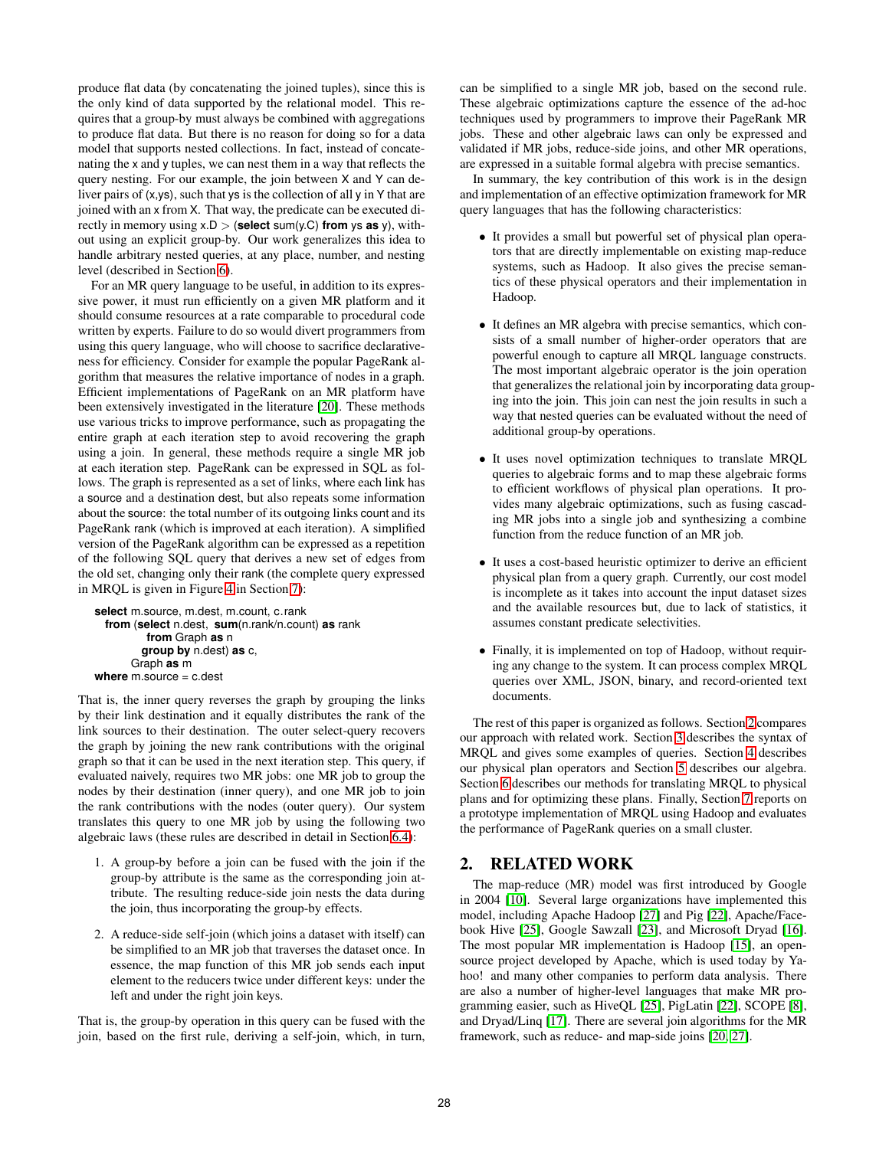produce flat data (by concatenating the joined tuples), since this is the only kind of data supported by the relational model. This requires that a group-by must always be combined with aggregations to produce flat data. But there is no reason for doing so for a data model that supports nested collections. In fact, instead of concatenating the x and y tuples, we can nest them in a way that reflects the query nesting. For our example, the join between X and Y can deliver pairs of (x,ys), such that ys is the collection of all y in Y that are joined with an x from X. That way, the predicate can be executed directly in memory using  $x.D >$  (**select** sum(y.C) **from** ys **as** y), without using an explicit group-by. Our work generalizes this idea to handle arbitrary nested queries, at any place, number, and nesting level (described in Section [6\)](#page-6-0).

For an MR query language to be useful, in addition to its expressive power, it must run efficiently on a given MR platform and it should consume resources at a rate comparable to procedural code written by experts. Failure to do so would divert programmers from using this query language, who will choose to sacrifice declarativeness for efficiency. Consider for example the popular PageRank algorithm that measures the relative importance of nodes in a graph. Efficient implementations of PageRank on an MR platform have been extensively investigated in the literature [\[20\]](#page-11-0). These methods use various tricks to improve performance, such as propagating the entire graph at each iteration step to avoid recovering the graph using a join. In general, these methods require a single MR job at each iteration step. PageRank can be expressed in SQL as follows. The graph is represented as a set of links, where each link has a source and a destination dest, but also repeats some information about the source: the total number of its outgoing links count and its PageRank rank (which is improved at each iteration). A simplified version of the PageRank algorithm can be expressed as a repetition of the following SQL query that derives a new set of edges from the old set, changing only their rank (the complete query expressed in MRQL is given in Figure [4](#page-10-0) in Section [7\)](#page-10-0):

```
select m.source, m.dest, m.count, c.rank
  from (select n.dest, sum(n.rank/n.count) as rank
         from Graph as n
        group by n.dest) as c,
      Graph as m
where m.source = c.dest
```
That is, the inner query reverses the graph by grouping the links by their link destination and it equally distributes the rank of the link sources to their destination. The outer select-query recovers the graph by joining the new rank contributions with the original graph so that it can be used in the next iteration step. This query, if evaluated naively, requires two MR jobs: one MR job to group the nodes by their destination (inner query), and one MR job to join the rank contributions with the nodes (outer query). Our system translates this query to one MR job by using the following two algebraic laws (these rules are described in detail in Section [6.4\)](#page-9-0):

- 1. A group-by before a join can be fused with the join if the group-by attribute is the same as the corresponding join attribute. The resulting reduce-side join nests the data during the join, thus incorporating the group-by effects.
- 2. A reduce-side self-join (which joins a dataset with itself) can be simplified to an MR job that traverses the dataset once. In essence, the map function of this MR job sends each input element to the reducers twice under different keys: under the left and under the right join keys.

That is, the group-by operation in this query can be fused with the join, based on the first rule, deriving a self-join, which, in turn,

can be simplified to a single MR job, based on the second rule. These algebraic optimizations capture the essence of the ad-hoc techniques used by programmers to improve their PageRank MR jobs. These and other algebraic laws can only be expressed and validated if MR jobs, reduce-side joins, and other MR operations, are expressed in a suitable formal algebra with precise semantics.

In summary, the key contribution of this work is in the design and implementation of an effective optimization framework for MR query languages that has the following characteristics:

- It provides a small but powerful set of physical plan operators that are directly implementable on existing map-reduce systems, such as Hadoop. It also gives the precise semantics of these physical operators and their implementation in Hadoop.
- It defines an MR algebra with precise semantics, which consists of a small number of higher-order operators that are powerful enough to capture all MRQL language constructs. The most important algebraic operator is the join operation that generalizes the relational join by incorporating data grouping into the join. This join can nest the join results in such a way that nested queries can be evaluated without the need of additional group-by operations.
- It uses novel optimization techniques to translate MRQL queries to algebraic forms and to map these algebraic forms to efficient workflows of physical plan operations. It provides many algebraic optimizations, such as fusing cascading MR jobs into a single job and synthesizing a combine function from the reduce function of an MR job.
- It uses a cost-based heuristic optimizer to derive an efficient physical plan from a query graph. Currently, our cost model is incomplete as it takes into account the input dataset sizes and the available resources but, due to lack of statistics, it assumes constant predicate selectivities.
- Finally, it is implemented on top of Hadoop, without requiring any change to the system. It can process complex MRQL queries over XML, JSON, binary, and record-oriented text documents.

The rest of this paper is organized as follows. Section 2 compares our approach with related work. Section [3](#page-3-0) describes the syntax of MRQL and gives some examples of queries. Section [4](#page-4-0) describes our physical plan operators and Section [5](#page-6-0) describes our algebra. Section [6](#page-6-0) describes our methods for translating MRQL to physical plans and for optimizing these plans. Finally, Section [7](#page-10-0) reports on a prototype implementation of MRQL using Hadoop and evaluates the performance of PageRank queries on a small cluster.

# **2. RELATED WORK**

The map-reduce (MR) model was first introduced by Google in 2004 [\[10\]](#page-11-0). Several large organizations have implemented this model, including Apache Hadoop [\[27\]](#page-11-0) and Pig [\[22\]](#page-11-0), Apache/Facebook Hive [\[25\]](#page-11-0), Google Sawzall [\[23\]](#page-11-0), and Microsoft Dryad [\[16\]](#page-11-0). The most popular MR implementation is Hadoop [\[15\]](#page-11-0), an opensource project developed by Apache, which is used today by Yahoo! and many other companies to perform data analysis. There are also a number of higher-level languages that make MR programming easier, such as HiveQL [\[25\]](#page-11-0), PigLatin [\[22\]](#page-11-0), SCOPE [\[8\]](#page-11-0), and Dryad/Linq [\[17\]](#page-11-0). There are several join algorithms for the MR framework, such as reduce- and map-side joins [\[20, 27\]](#page-11-0).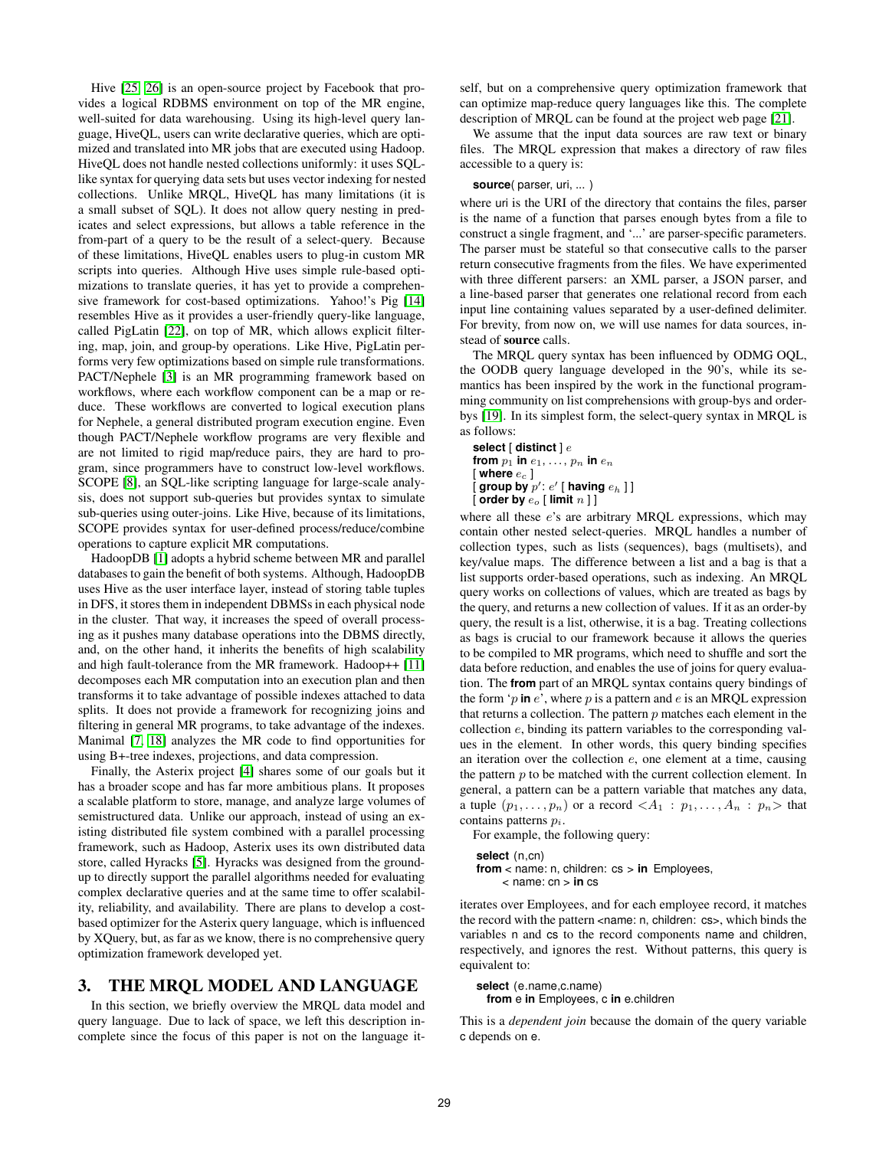<span id="page-3-0"></span>Hive [\[25, 26\]](#page-11-0) is an open-source project by Facebook that provides a logical RDBMS environment on top of the MR engine, well-suited for data warehousing. Using its high-level query language, HiveQL, users can write declarative queries, which are optimized and translated into MR jobs that are executed using Hadoop. HiveQL does not handle nested collections uniformly: it uses SQLlike syntax for querying data sets but uses vector indexing for nested collections. Unlike MRQL, HiveQL has many limitations (it is a small subset of SQL). It does not allow query nesting in predicates and select expressions, but allows a table reference in the from-part of a query to be the result of a select-query. Because of these limitations, HiveQL enables users to plug-in custom MR scripts into queries. Although Hive uses simple rule-based optimizations to translate queries, it has yet to provide a comprehensive framework for cost-based optimizations. Yahoo!'s Pig [\[14\]](#page-11-0) resembles Hive as it provides a user-friendly query-like language, called PigLatin [\[22\]](#page-11-0), on top of MR, which allows explicit filtering, map, join, and group-by operations. Like Hive, PigLatin performs very few optimizations based on simple rule transformations. PACT/Nephele [\[3\]](#page-11-0) is an MR programming framework based on workflows, where each workflow component can be a map or reduce. These workflows are converted to logical execution plans for Nephele, a general distributed program execution engine. Even though PACT/Nephele workflow programs are very flexible and are not limited to rigid map/reduce pairs, they are hard to program, since programmers have to construct low-level workflows. SCOPE [\[8\]](#page-11-0), an SQL-like scripting language for large-scale analysis, does not support sub-queries but provides syntax to simulate sub-queries using outer-joins. Like Hive, because of its limitations, SCOPE provides syntax for user-defined process/reduce/combine operations to capture explicit MR computations.

HadoopDB [\[1\]](#page-11-0) adopts a hybrid scheme between MR and parallel databases to gain the benefit of both systems. Although, HadoopDB uses Hive as the user interface layer, instead of storing table tuples in DFS, it stores them in independent DBMSs in each physical node in the cluster. That way, it increases the speed of overall processing as it pushes many database operations into the DBMS directly, and, on the other hand, it inherits the benefits of high scalability and high fault-tolerance from the MR framework. Hadoop++ [\[11\]](#page-11-0) decomposes each MR computation into an execution plan and then transforms it to take advantage of possible indexes attached to data splits. It does not provide a framework for recognizing joins and filtering in general MR programs, to take advantage of the indexes. Manimal [\[7, 18\]](#page-11-0) analyzes the MR code to find opportunities for using B+-tree indexes, projections, and data compression.

Finally, the Asterix project [\[4\]](#page-11-0) shares some of our goals but it has a broader scope and has far more ambitious plans. It proposes a scalable platform to store, manage, and analyze large volumes of semistructured data. Unlike our approach, instead of using an existing distributed file system combined with a parallel processing framework, such as Hadoop, Asterix uses its own distributed data store, called Hyracks [\[5\]](#page-11-0). Hyracks was designed from the groundup to directly support the parallel algorithms needed for evaluating complex declarative queries and at the same time to offer scalability, reliability, and availability. There are plans to develop a costbased optimizer for the Asterix query language, which is influenced by XQuery, but, as far as we know, there is no comprehensive query optimization framework developed yet.

# **3. THE MRQL MODEL AND LANGUAGE**

In this section, we briefly overview the MRQL data model and query language. Due to lack of space, we left this description incomplete since the focus of this paper is not on the language itself, but on a comprehensive query optimization framework that can optimize map-reduce query languages like this. The complete description of MRQL can be found at the project web page [\[21\]](#page-11-0).

We assume that the input data sources are raw text or binary files. The MRQL expression that makes a directory of raw files accessible to a query is:

#### **source**( parser, uri, ... )

where uri is the URI of the directory that contains the files, parser is the name of a function that parses enough bytes from a file to construct a single fragment, and '...' are parser-specific parameters. The parser must be stateful so that consecutive calls to the parser return consecutive fragments from the files. We have experimented with three different parsers: an XML parser, a JSON parser, and a line-based parser that generates one relational record from each input line containing values separated by a user-defined delimiter. For brevity, from now on, we will use names for data sources, instead of **source** calls.

The MRQL query syntax has been influenced by ODMG OQL, the OODB query language developed in the 90's, while its semantics has been inspired by the work in the functional programming community on list comprehensions with group-bys and orderbys [\[19\]](#page-11-0). In its simplest form, the select-query syntax in MRQL is as follows:

```
select [ distinct ] e
from p_1 in e_1, \ldots, p_n in e_n[ where e_c ][ group by p': e' [ having e_h ] ][ order by eo [ limit n ] ]
```
where all these e's are arbitrary MRQL expressions, which may contain other nested select-queries. MRQL handles a number of collection types, such as lists (sequences), bags (multisets), and key/value maps. The difference between a list and a bag is that a list supports order-based operations, such as indexing. An MRQL query works on collections of values, which are treated as bags by the query, and returns a new collection of values. If it as an order-by query, the result is a list, otherwise, it is a bag. Treating collections as bags is crucial to our framework because it allows the queries to be compiled to MR programs, which need to shuffle and sort the data before reduction, and enables the use of joins for query evaluation. The **from** part of an MRQL syntax contains query bindings of the form  $\gamma$  in  $e'$ , where p is a pattern and  $e$  is an MRQL expression that returns a collection. The pattern  $p$  matches each element in the collection e, binding its pattern variables to the corresponding values in the element. In other words, this query binding specifies an iteration over the collection e, one element at a time, causing the pattern  $p$  to be matched with the current collection element. In general, a pattern can be a pattern variable that matches any data, a tuple  $(p_1, \ldots, p_n)$  or a record  $\langle A_1 : p_1, \ldots, A_n : p_n \rangle$  that contains patterns  $p_i$ .

For example, the following query:

```
select (n,cn)
```
from < name: n, children: cs > in Employees, < name: cn > **in** cs

iterates over Employees, and for each employee record, it matches the record with the pattern <name: n, children: cs>, which binds the variables n and cs to the record components name and children, respectively, and ignores the rest. Without patterns, this query is equivalent to:

```
select (e.name, c.name)
 from e in Employees, c in e.children
```
This is a *dependent join* because the domain of the query variable c depends on e.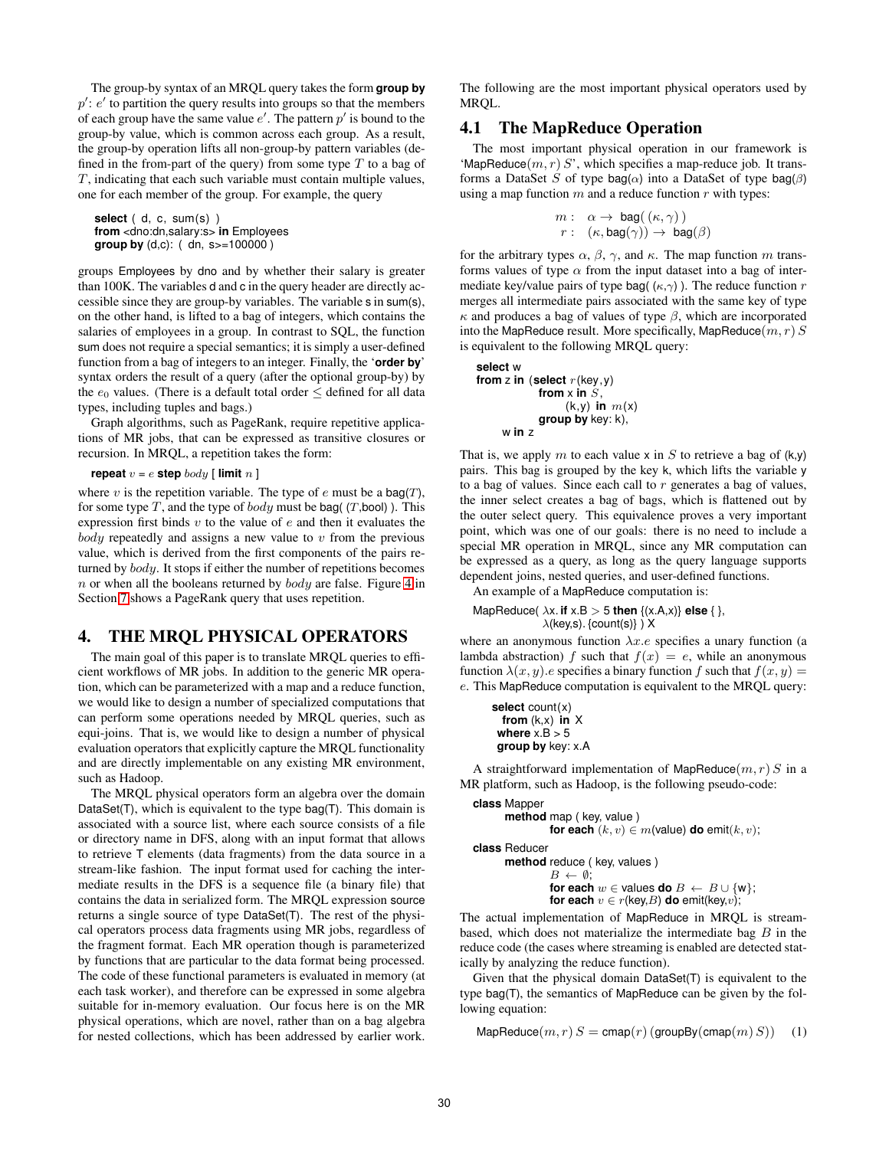<span id="page-4-0"></span>The group-by syntax of an MRQL query takes the form **group by**  $p'$ :  $e'$  to partition the query results into groups so that the members of each group have the same value  $e'$ . The pattern  $p'$  is bound to the group-by value, which is common across each group. As a result, the group-by operation lifts all non-group-by pattern variables (defined in the from-part of the query) from some type  $T$  to a bag of  $T$ , indicating that each such variable must contain multiple values, one for each member of the group. For example, the query

**select** ( d, c, sum(s) ) **from** <dno:dn,salary:s> **in** Employees **group by** (d,c): ( dn, s>=100000 )

groups Employees by dno and by whether their salary is greater than 100K. The variables d and c in the query header are directly accessible since they are group-by variables. The variable s in sum(s), on the other hand, is lifted to a bag of integers, which contains the salaries of employees in a group. In contrast to SQL, the function sum does not require a special semantics; it is simply a user-defined function from a bag of integers to an integer. Finally, the '**order by**' syntax orders the result of a query (after the optional group-by) by the  $e_0$  values. (There is a default total order  $\leq$  defined for all data types, including tuples and bags.)

Graph algorithms, such as PageRank, require repetitive applications of MR jobs, that can be expressed as transitive closures or recursion. In MRQL, a repetition takes the form:

**repeat**  $v = e$  **step** body [ **limit**  $n$  ]

where v is the repetition variable. The type of  $e$  must be a bag(T), for some type  $T$ , and the type of  $body$  must be bag( (T,bool)). This expression first binds  $v$  to the value of  $e$  and then it evaluates the  $body$  repeatedly and assigns a new value to  $v$  from the previous value, which is derived from the first components of the pairs returned by body. It stops if either the number of repetitions becomes  $n$  or when all the booleans returned by  $body$  are false. Figure [4](#page-10-0) in Section [7](#page-10-0) shows a PageRank query that uses repetition.

## **4. THE MRQL PHYSICAL OPERATORS**

The main goal of this paper is to translate MRQL queries to efficient workflows of MR jobs. In addition to the generic MR operation, which can be parameterized with a map and a reduce function, we would like to design a number of specialized computations that can perform some operations needed by MRQL queries, such as equi-joins. That is, we would like to design a number of physical evaluation operators that explicitly capture the MRQL functionality and are directly implementable on any existing MR environment, such as Hadoop.

The MRQL physical operators form an algebra over the domain DataSet(T), which is equivalent to the type bag(T). This domain is associated with a source list, where each source consists of a file or directory name in DFS, along with an input format that allows to retrieve T elements (data fragments) from the data source in a stream-like fashion. The input format used for caching the intermediate results in the DFS is a sequence file (a binary file) that contains the data in serialized form. The MRQL expression source returns a single source of type DataSet(T). The rest of the physical operators process data fragments using MR jobs, regardless of the fragment format. Each MR operation though is parameterized by functions that are particular to the data format being processed. The code of these functional parameters is evaluated in memory (at each task worker), and therefore can be expressed in some algebra suitable for in-memory evaluation. Our focus here is on the MR physical operations, which are novel, rather than on a bag algebra for nested collections, which has been addressed by earlier work.

The following are the most important physical operators used by MRQL.

# **4.1 The MapReduce Operation**

The most important physical operation in our framework is 'MapReduce $(m, r)$  S', which specifies a map-reduce job. It transforms a DataSet S of type bag( $\alpha$ ) into a DataSet of type bag( $\beta$ ) using a map function  $m$  and a reduce function  $r$  with types:

$$
m: \quad \alpha \to \text{bag}((\kappa, \gamma))
$$
  

$$
r: \quad (\kappa, \text{bag}(\gamma)) \to \text{bag}(\beta)
$$

for the arbitrary types  $\alpha$ ,  $\beta$ ,  $\gamma$ , and  $\kappa$ . The map function m transforms values of type  $\alpha$  from the input dataset into a bag of intermediate key/value pairs of type bag(  $(\kappa, \gamma)$  ). The reduce function r merges all intermediate pairs associated with the same key of type  $\kappa$  and produces a bag of values of type  $\beta$ , which are incorporated into the MapReduce result. More specifically, MapReduce $(m, r)$  S is equivalent to the following MRQL query:

```
select w
from z in (select r(key,y)
            from \times in S,
                  (k,y) in m(x)group by key: k),
     w in z
```
That is, we apply m to each value x in S to retrieve a bag of  $(k, y)$ pairs. This bag is grouped by the key k, which lifts the variable y to a bag of values. Since each call to  $r$  generates a bag of values, the inner select creates a bag of bags, which is flattened out by the outer select query. This equivalence proves a very important point, which was one of our goals: there is no need to include a special MR operation in MRQL, since any MR computation can be expressed as a query, as long as the query language supports dependent joins, nested queries, and user-defined functions.

An example of a MapReduce computation is:

MapReduce( $\lambda x$ . **if**  $x.B > 5$  **then**  $\{(x.A,x)\}$  **else**  $\{\}$ ,  $\lambda$ (key,s). {count(s)}) X

where an anonymous function  $\lambda x.e$  specifies a unary function (a lambda abstraction) f such that  $f(x) = e$ , while an anonymous function  $\lambda(x, y)$ .e specifies a binary function f such that  $f(x, y) =$ e. This MapReduce computation is equivalent to the MRQL query:

**select** count(x) **from** (k,x) **in** X **where**  $x.B > 5$ **group by** key: x.A

A straightforward implementation of MapReduce $(m, r) S$  in a MR platform, such as Hadoop, is the following pseudo-code:

```
class Mapper
      method map ( key, value )
                for each (k, v) \in m (value) do emit(k, v);
class Reducer
      method reduce ( key, values )
                 B \leftarrow \emptyset:
                for each w \in values do B \leftarrow B \cup \{w\};
```
The actual implementation of MapReduce in MRQL is streambased, which does not materialize the intermediate bag  $B$  in the reduce code (the cases where streaming is enabled are detected statically by analyzing the reduce function).

**for each**  $v \in r$ (key, B) **do** emit(key, v);

Given that the physical domain DataSet(T) is equivalent to the type bag(T), the semantics of MapReduce can be given by the following equation:

$$
\mathsf{MapReduce}(m, r) \, S = \mathsf{cmap}(r) \, (\mathsf{groupBy}(\mathsf{cmap}(m) \, S)) \quad \text{(1)}
$$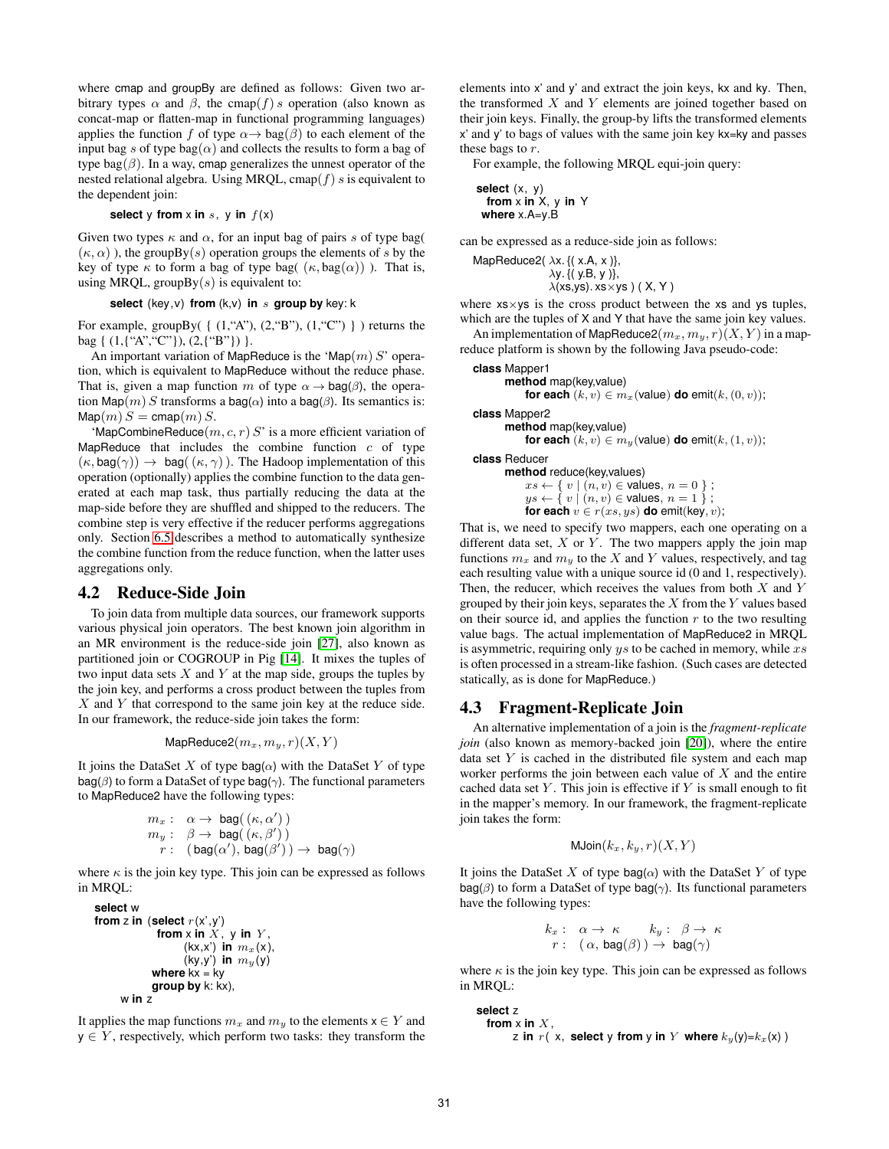where cmap and groupBy are defined as follows: Given two arbitrary types  $\alpha$  and  $\beta$ , the cmap(f) s operation (also known as concat-map or flatten-map in functional programming languages) applies the function f of type  $\alpha \rightarrow \text{bag}(\beta)$  to each element of the input bag s of type bag( $\alpha$ ) and collects the results to form a bag of type bag $(\beta)$ . In a way, cmap generalizes the unnest operator of the nested relational algebra. Using MRQL, cmap( $f$ ) s is equivalent to the dependent join:

#### **select** y **from** x **in** s, y **in**  $f(x)$

Given two types  $\kappa$  and  $\alpha$ , for an input bag of pairs s of type bag(  $(\kappa, \alpha)$ ), the groupBy(s) operation groups the elements of s by the key of type  $\kappa$  to form a bag of type bag(  $(\kappa, \text{bag}(\alpha))$ ). That is, using MRQL, groupBy $(s)$  is equivalent to:

#### **select** (key,v) **from** (k,v) **in** s **group by** key: k

For example, groupBy( $\{ (1, "A"), (2, "B"), (1, "C") \}$ ) returns the bag { (1,{"A","C"}), (2,{"B"}) }.

An important variation of MapReduce is the 'Map $(m) S'$  operation, which is equivalent to MapReduce without the reduce phase. That is, given a map function m of type  $\alpha \rightarrow \text{bag}(\beta)$ , the operation Map(m) S transforms a bag( $\alpha$ ) into a bag( $\beta$ ). Its semantics is:  $\text{Map}(m) S = \text{cmap}(m) S.$ 

'MapCombineReduce $(m, c, r)$  S' is a more efficient variation of MapReduce that includes the combine function  $c$  of type  $(\kappa, \text{bag}(\gamma)) \to \text{bag}((\kappa, \gamma))$ . The Hadoop implementation of this operation (optionally) applies the combine function to the data generated at each map task, thus partially reducing the data at the map-side before they are shuffled and shipped to the reducers. The combine step is very effective if the reducer performs aggregations only. Section [6.5](#page-9-0) describes a method to automatically synthesize the combine function from the reduce function, when the latter uses aggregations only.

## **4.2 Reduce-Side Join**

To join data from multiple data sources, our framework supports various physical join operators. The best known join algorithm in an MR environment is the reduce-side join [\[27\]](#page-11-0), also known as partitioned join or COGROUP in Pig [\[14\]](#page-11-0). It mixes the tuples of two input data sets  $X$  and  $Y$  at the map side, groups the tuples by the join key, and performs a cross product between the tuples from  $X$  and  $Y$  that correspond to the same join key at the reduce side. In our framework, the reduce-side join takes the form:

$$
\mathsf{MapReduce2}(m_x, m_y, r)(X, Y)
$$

It joins the DataSet X of type bag( $\alpha$ ) with the DataSet Y of type  $bag(\beta)$  to form a DataSet of type bag( $\gamma$ ). The functional parameters to MapReduce2 have the following types:

$$
m_x: \alpha \to \text{bag}((\kappa, \alpha'))
$$
  
\n
$$
m_y: \beta \to \text{bag}((\kappa, \beta'))
$$
  
\n
$$
r: (\text{bag}(\alpha'), \text{bag}(\beta')) \to \text{bag}(\gamma)
$$

where  $\kappa$  is the join key type. This join can be expressed as follows in MRQL:

```
select w
from z in (select r(x',y')from x in \overline{X}, y in \overline{Y},
                    (kx,x') in m_x(x),
                    (ky,y') in m_y(y)where kx = ky
             group by k: kx),
      w in z
```
It applies the map functions  $m_x$  and  $m_y$  to the elements  $x \in Y$  and  $y \in Y$ , respectively, which perform two tasks: they transform the

elements into x' and y' and extract the join keys, kx and ky. Then, the transformed  $X$  and  $Y$  elements are joined together based on their join keys. Finally, the group-by lifts the transformed elements x' and y' to bags of values with the same join key kx=ky and passes these bags to r.

For example, the following MRQL equi-join query:

$$
\begin{array}{c}\n\text{select } (x, y) \\
\text{from } x \text{ in } X, y \text{ in } Y \\
\text{where } x.A=y.B\n\end{array}
$$

can be expressed as a reduce-side join as follows:

MapReduce2( $\lambda x$ . {( $x.A$ ,  $x$ )},  $\lambda$ y. {(y.B, y)},  $\lambda$ (xs,ys). xs $\times$ ys) (X, Y)

where  $x_s \times y_s$  is the cross product between the  $xs$  and  $ys$  tuples, which are the tuples of X and Y that have the same join key values.

An implementation of MapReduce2 $(m_x, m_y, r)(X, Y)$  in a mapreduce platform is shown by the following Java pseudo-code:

```
class Mapper1
      method map(key,value)
          for each (k, v) \in m_x (value) do emit(k, (0, v));
```
**class** Mapper2

```
method map(key,value)
    for each (k, v) \in m_y (value) do emit(k, (1, v));
```
**class** Reducer

**method** reduce(key,values)  $xs \leftarrow \{ v \mid (n, v) \in$  values,  $n = 0 \}$ ;  $ys \leftarrow \hat{y} \mid (n, v) \in$  values,  $n = 1$  }; **for each**  $v \in r(xs, ys)$  **do** emit(key, v);

That is, we need to specify two mappers, each one operating on a different data set,  $X$  or  $Y$ . The two mappers apply the join map functions  $m_x$  and  $m_y$  to the X and Y values, respectively, and tag each resulting value with a unique source id (0 and 1, respectively). Then, the reducer, which receives the values from both  $X$  and  $Y$ grouped by their join keys, separates the  $X$  from the  $Y$  values based on their source id, and applies the function  $r$  to the two resulting value bags. The actual implementation of MapReduce2 in MRQL is asymmetric, requiring only  $ys$  to be cached in memory, while  $xs$ is often processed in a stream-like fashion. (Such cases are detected statically, as is done for MapReduce.)

# **4.3 Fragment-Replicate Join**

An alternative implementation of a join is the *fragment-replicate join* (also known as memory-backed join [\[20\]](#page-11-0)), where the entire data set  $Y$  is cached in the distributed file system and each map worker performs the join between each value of  $X$  and the entire cached data set  $Y$ . This join is effective if  $Y$  is small enough to fit in the mapper's memory. In our framework, the fragment-replicate join takes the form:

$$
\mathsf{MJoin}(k_x, k_y, r)(X, Y)
$$

It joins the DataSet X of type bag( $\alpha$ ) with the DataSet Y of type  $bag(β)$  to form a DataSet of type bag( $γ$ ). Its functional parameters have the following types:

$$
k_x: \quad \alpha \to \kappa \qquad k_y: \quad \beta \to \kappa
$$
  

$$
r: \quad (\alpha, \text{bag}(\beta)) \to \text{bag}(\gamma)
$$

where  $\kappa$  is the join key type. This join can be expressed as follows in MRQL:

**select** z from  $x$  in  $X$ , z **in** r( x, **select** y **from** y **in** Y **where**  $k_y(y)=k_x(x)$  )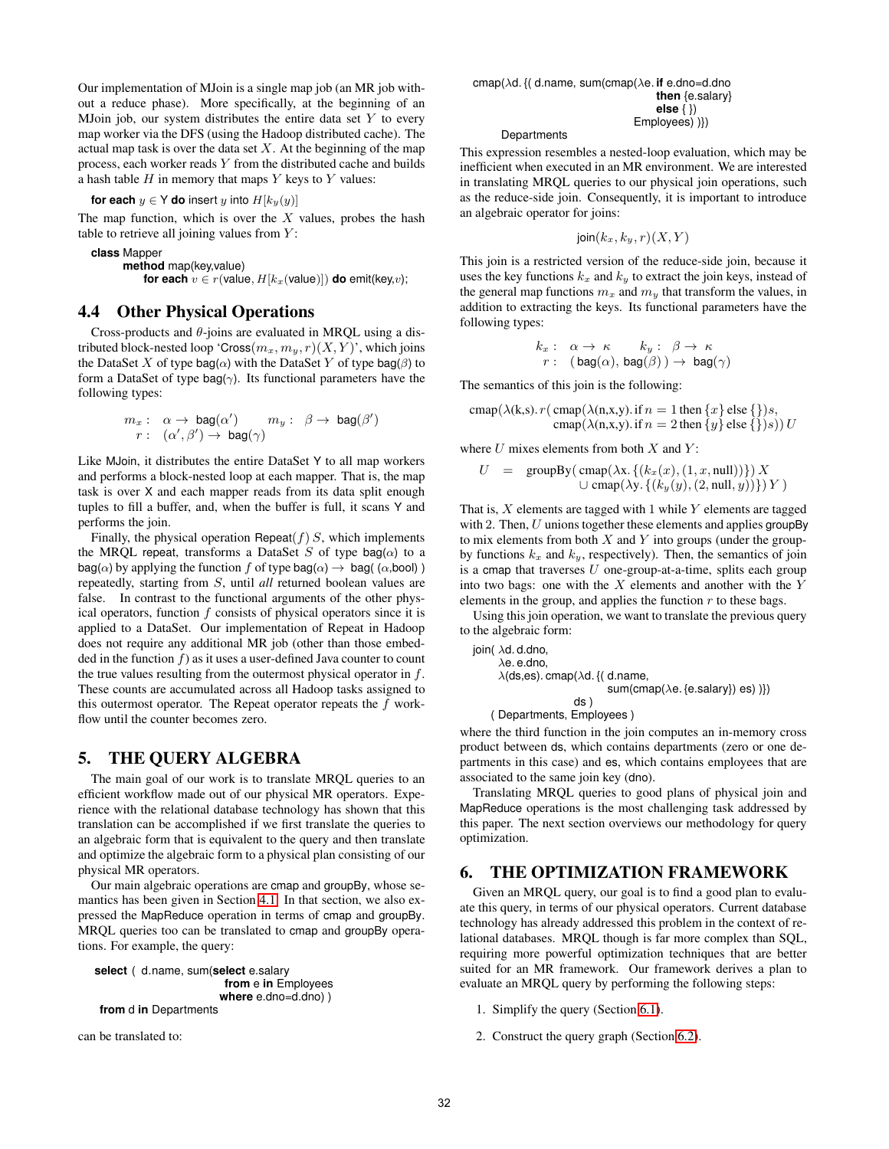<span id="page-6-0"></span>Our implementation of MJoin is a single map job (an MR job without a reduce phase). More specifically, at the beginning of an MJoin job, our system distributes the entire data set  $Y$  to every map worker via the DFS (using the Hadoop distributed cache). The actual map task is over the data set  $X$ . At the beginning of the map process, each worker reads Y from the distributed cache and builds a hash table  $H$  in memory that maps  $Y$  keys to  $Y$  values:

**for each**  $y \in Y$  **do** insert y into  $H[k_y(y)]$ 

The map function, which is over the  $X$  values, probes the hash table to retrieve all joining values from  $Y$ :

**class** Mapper **method** map(key,value) **for each**  $v \in r$ (value,  $H[k_x(\text{value})])$  **do** emit(key,v);

## **4.4 Other Physical Operations**

Cross-products and  $\theta$ -joins are evaluated in MROL using a distributed block-nested loop 'Cross $(m_x, m_y, r)(X, Y)$ ', which joins the DataSet X of type bag( $\alpha$ ) with the DataSet Y of type bag( $\beta$ ) to form a DataSet of type bag( $\gamma$ ). Its functional parameters have the following types:

$$
m_x: \quad \alpha \to \text{bag}(\alpha') \qquad m_y: \quad \beta \to \text{bag}(\beta')
$$
  

$$
r: \quad (\alpha', \beta') \to \text{bag}(\gamma)
$$

Like MJoin, it distributes the entire DataSet Y to all map workers and performs a block-nested loop at each mapper. That is, the map task is over X and each mapper reads from its data split enough tuples to fill a buffer, and, when the buffer is full, it scans Y and performs the join.

Finally, the physical operation Repeat $(f)$  S, which implements the MRQL repeat, transforms a DataSet S of type bag( $\alpha$ ) to a  $bag(\alpha)$  by applying the function f of type bag( $(\alpha) \rightarrow$  bag( $(\alpha,$ bool)) repeatedly, starting from S, until *all* returned boolean values are false. In contrast to the functional arguments of the other physical operators, function f consists of physical operators since it is applied to a DataSet. Our implementation of Repeat in Hadoop does not require any additional MR job (other than those embedded in the function  $f$ ) as it uses a user-defined Java counter to count the true values resulting from the outermost physical operator in  $f$ . These counts are accumulated across all Hadoop tasks assigned to this outermost operator. The Repeat operator repeats the f workflow until the counter becomes zero.

# **5. THE QUERY ALGEBRA**

The main goal of our work is to translate MRQL queries to an efficient workflow made out of our physical MR operators. Experience with the relational database technology has shown that this translation can be accomplished if we first translate the queries to an algebraic form that is equivalent to the query and then translate and optimize the algebraic form to a physical plan consisting of our physical MR operators.

Our main algebraic operations are cmap and groupBy, whose semantics has been given in Section [4.1.](#page-4-0) In that section, we also expressed the MapReduce operation in terms of cmap and groupBy. MRQL queries too can be translated to cmap and groupBy operations. For example, the query:

**select** ( d.name, sum(**select** e.salary **from** e **in** Employees **where** e.dno=d.dno) ) **from** d **in** Departments

can be translated to:

**Departments** 

This expression resembles a nested-loop evaluation, which may be inefficient when executed in an MR environment. We are interested in translating MRQL queries to our physical join operations, such as the reduce-side join. Consequently, it is important to introduce an algebraic operator for joins:

$$
\mathsf{join}(k_x,k_y,r)(X,Y)
$$

This join is a restricted version of the reduce-side join, because it uses the key functions  $k_x$  and  $k_y$  to extract the join keys, instead of the general map functions  $m_x$  and  $m_y$  that transform the values, in addition to extracting the keys. Its functional parameters have the following types:

$$
\begin{array}{rcl}\nk_x: & \alpha \to \kappa & k_y: & \beta \to \kappa \\
r: & (\mathsf{bag}(\alpha), \mathsf{bag}(\beta)) \to \mathsf{bag}(\gamma)\n\end{array}
$$

The semantics of this join is the following:

$$
cmap(\lambda(k,s). r(cmap(\lambda(n,x,y). if n = 1 then \{x\} else \{\})s,cpn(\lambda(n,x,y). if n = 2 then \{y\} else \{\})s)) U
$$

where  $U$  mixes elements from both  $X$  and  $Y$ :

$$
U = \text{groupBy}(\text{cmap}(\lambda x. \{(k_x(x), (1, x, \text{null}))\}) X \cup \text{cmap}(\lambda y. \{(k_y(y), (2, \text{null}, y))\}) Y)
$$

That is,  $X$  elements are tagged with 1 while  $Y$  elements are tagged with 2. Then,  $U$  unions together these elements and applies groupBy to mix elements from both  $X$  and  $Y$  into groups (under the groupby functions  $k_x$  and  $k_y$ , respectively). Then, the semantics of join is a cmap that traverses  $U$  one-group-at-a-time, splits each group into two bags: one with the  $X$  elements and another with the  $Y$ elements in the group, and applies the function  $r$  to these bags.

Using this join operation, we want to translate the previous query to the algebraic form:

\n
$$
\text{join}(\lambda \, \text{d}.\text{d}.\text{d}.\text{d}.\text{o},
$$
\n  
\n $\lambda(\text{ds}, \text{es}).\text{cmap}(\lambda \, \text{d}.(\text{d}.\text{name}, \text{sum}(\text{c}.\text{e}.\text{salary})) \text{es}))$ \n  
\n $\text{ds})$ \n

( Departments, Employees )

where the third function in the join computes an in-memory cross product between ds, which contains departments (zero or one departments in this case) and es, which contains employees that are associated to the same join key (dno).

Translating MRQL queries to good plans of physical join and MapReduce operations is the most challenging task addressed by this paper. The next section overviews our methodology for query optimization.

# **6. THE OPTIMIZATION FRAMEWORK**

Given an MRQL query, our goal is to find a good plan to evaluate this query, in terms of our physical operators. Current database technology has already addressed this problem in the context of relational databases. MRQL though is far more complex than SQL, requiring more powerful optimization techniques that are better suited for an MR framework. Our framework derives a plan to evaluate an MRQL query by performing the following steps:

- 1. Simplify the query (Section [6.1\)](#page-7-0).
- 2. Construct the query graph (Section [6.2\)](#page-7-0).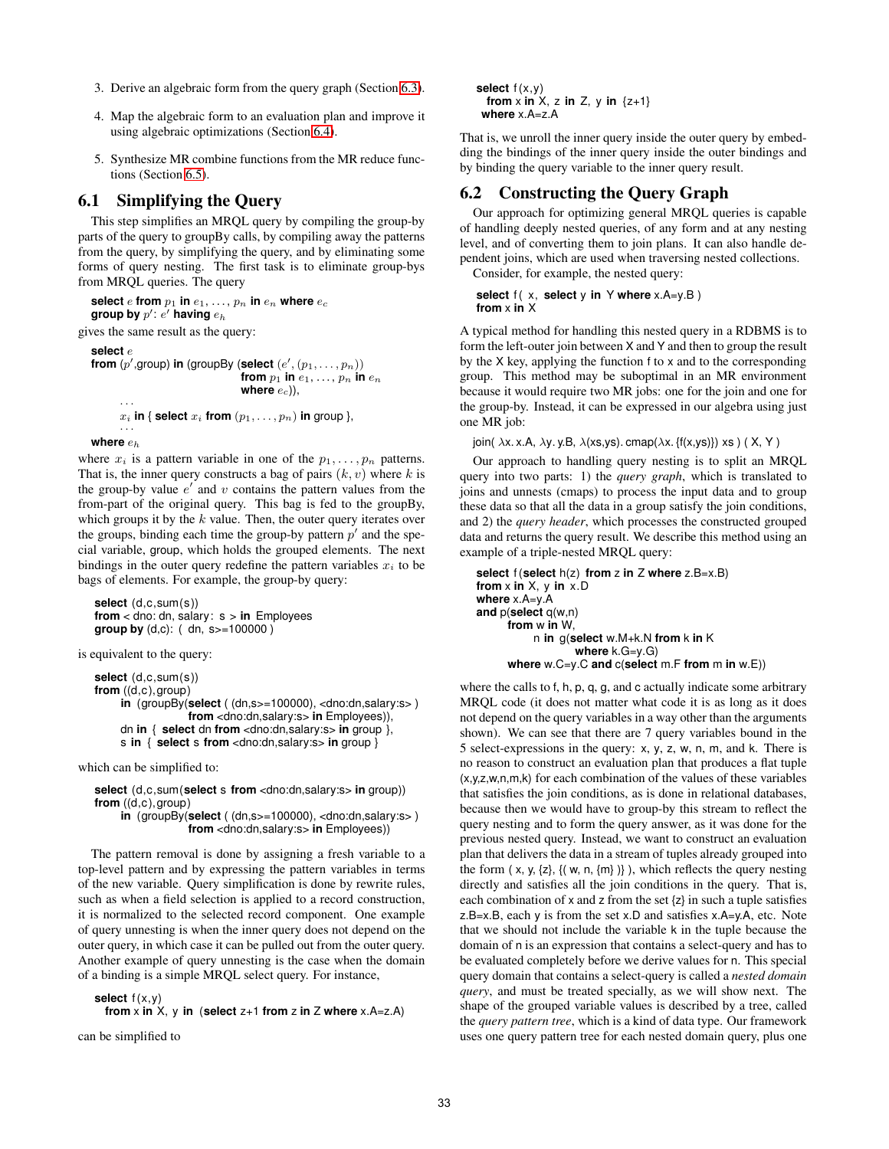- <span id="page-7-0"></span>3. Derive an algebraic form from the query graph (Section [6.3\)](#page-8-0).
- 4. Map the algebraic form to an evaluation plan and improve it using algebraic optimizations (Section [6.4\)](#page-9-0).
- 5. Synthesize MR combine functions from the MR reduce functions (Section [6.5\)](#page-9-0).

# **6.1 Simplifying the Query**

This step simplifies an MRQL query by compiling the group-by parts of the query to groupBy calls, by compiling away the patterns from the query, by simplifying the query, and by eliminating some forms of query nesting. The first task is to eliminate group-bys from MRQL queries. The query

**select** e **from**  $p_1$  **in**  $e_1, \ldots, p_n$  **in**  $e_n$  **where**  $e_c$ group by  $p'$ :  $e'$  having  $e_h$ gives the same result as the query: **select** e from  $(p', \text{group})$  in (groupBy (select  $(e', (p_1, \ldots, p_n))$ **from**  $p_1$  **in**  $e_1, \ldots, p_n$  **in**  $e_n$ where  $e_c$ )), · · ·  $x_i$  **in** { **select**  $x_i$  **from**  $(p_1, \ldots, p_n)$  **in** group }, · · · **where** e<sup>h</sup>

where  $x_i$  is a pattern variable in one of the  $p_1, \ldots, p_n$  patterns. That is, the inner query constructs a bag of pairs  $(k, v)$  where k is the group-by value  $e'$  and  $v$  contains the pattern values from the from-part of the original query. This bag is fed to the groupBy, which groups it by the  $k$  value. Then, the outer query iterates over the groups, binding each time the group-by pattern  $p'$  and the special variable, group, which holds the grouped elements. The next bindings in the outer query redefine the pattern variables  $x_i$  to be bags of elements. For example, the group-by query:

```
select (d,c,sum(s))
from < dno: dn, salary: s > in Employees
group by (d,c): ( dn, s>=100000 )
```
is equivalent to the query:

```
select (d,c,sum(s))
from ((d,c),group)
    in (groupBy(select ( (dn,s>=100000), <dno:dn,salary:s> )
                 from <dno:dn,salary:s> in Employees)),
    dn in { select dn from <dno:dn,salary:s> in group },
    s in { select s from <dno:dn,salary:s> in group }
```
which can be simplified to:

**select** (d,c,sum(**select** s **from** <dno:dn,salary:s> **in** group)) **from** ((d,c),group) **in** (groupBy(**select** ( (dn,s>=100000), <dno:dn,salary:s> ) **from** <dno:dn,salary:s> **in** Employees))

The pattern removal is done by assigning a fresh variable to a top-level pattern and by expressing the pattern variables in terms of the new variable. Query simplification is done by rewrite rules, such as when a field selection is applied to a record construction, it is normalized to the selected record component. One example of query unnesting is when the inner query does not depend on the outer query, in which case it can be pulled out from the outer query. Another example of query unnesting is the case when the domain of a binding is a simple MRQL select query. For instance,

**select**  $f(x,y)$ 

```
from x in X, y in (select z+1 from z in Z where x.A = z.A)
```
can be simplified to

```
select f(x,y)from x in X, z in Z, y in \{z+1\}where x.A=z.A
```
That is, we unroll the inner query inside the outer query by embedding the bindings of the inner query inside the outer bindings and by binding the query variable to the inner query result.

# **6.2 Constructing the Query Graph**

Our approach for optimizing general MRQL queries is capable of handling deeply nested queries, of any form and at any nesting level, and of converting them to join plans. It can also handle dependent joins, which are used when traversing nested collections.

Consider, for example, the nested query:

```
select f(x, select y in Y where x.A=y.B)
from x in X
```
A typical method for handling this nested query in a RDBMS is to form the left-outer join between X and Y and then to group the result by the X key, applying the function f to x and to the corresponding group. This method may be suboptimal in an MR environment because it would require two MR jobs: one for the join and one for the group-by. Instead, it can be expressed in our algebra using just one MR job:

```
join( \lambdax. x.A, \lambday. y.B, \lambda(xs,ys). cmap(\lambdax. {f(x,ys)}) xs) (X, Y)
```
Our approach to handling query nesting is to split an MRQL query into two parts: 1) the *query graph*, which is translated to joins and unnests (cmaps) to process the input data and to group these data so that all the data in a group satisfy the join conditions, and 2) the *query header*, which processes the constructed grouped data and returns the query result. We describe this method using an example of a triple-nested MRQL query:

```
select f (select h(z) from z in Z where z.B=x.B)
from x in X, y in x.D
where x.A=y.A
and p(select q(w,n)
     from w in W,
          n in g(select w.M+k.N from k in K
                  where k.G=y.G)
     where w.C=y.C and c(select m.F from m in w.E))
```
where the calls to f, h, p, q, g, and c actually indicate some arbitrary MRQL code (it does not matter what code it is as long as it does not depend on the query variables in a way other than the arguments shown). We can see that there are 7 query variables bound in the 5 select-expressions in the query: x, y, z, w, n, m, and k. There is no reason to construct an evaluation plan that produces a flat tuple (x,y,z,w,n,m,k) for each combination of the values of these variables that satisfies the join conditions, as is done in relational databases, because then we would have to group-by this stream to reflect the query nesting and to form the query answer, as it was done for the previous nested query. Instead, we want to construct an evaluation plan that delivers the data in a stream of tuples already grouped into the form  $(x, y, \{z\}, \{(w, n, \{m\})\})$ , which reflects the query nesting directly and satisfies all the join conditions in the query. That is, each combination of x and z from the set  $\{z\}$  in such a tuple satisfies  $z.B=x.B$ , each  $y$  is from the set  $x.D$  and satisfies  $x.A=y.A$ , etc. Note that we should not include the variable k in the tuple because the domain of n is an expression that contains a select-query and has to be evaluated completely before we derive values for n. This special query domain that contains a select-query is called a *nested domain query*, and must be treated specially, as we will show next. The shape of the grouped variable values is described by a tree, called the *query pattern tree*, which is a kind of data type. Our framework uses one query pattern tree for each nested domain query, plus one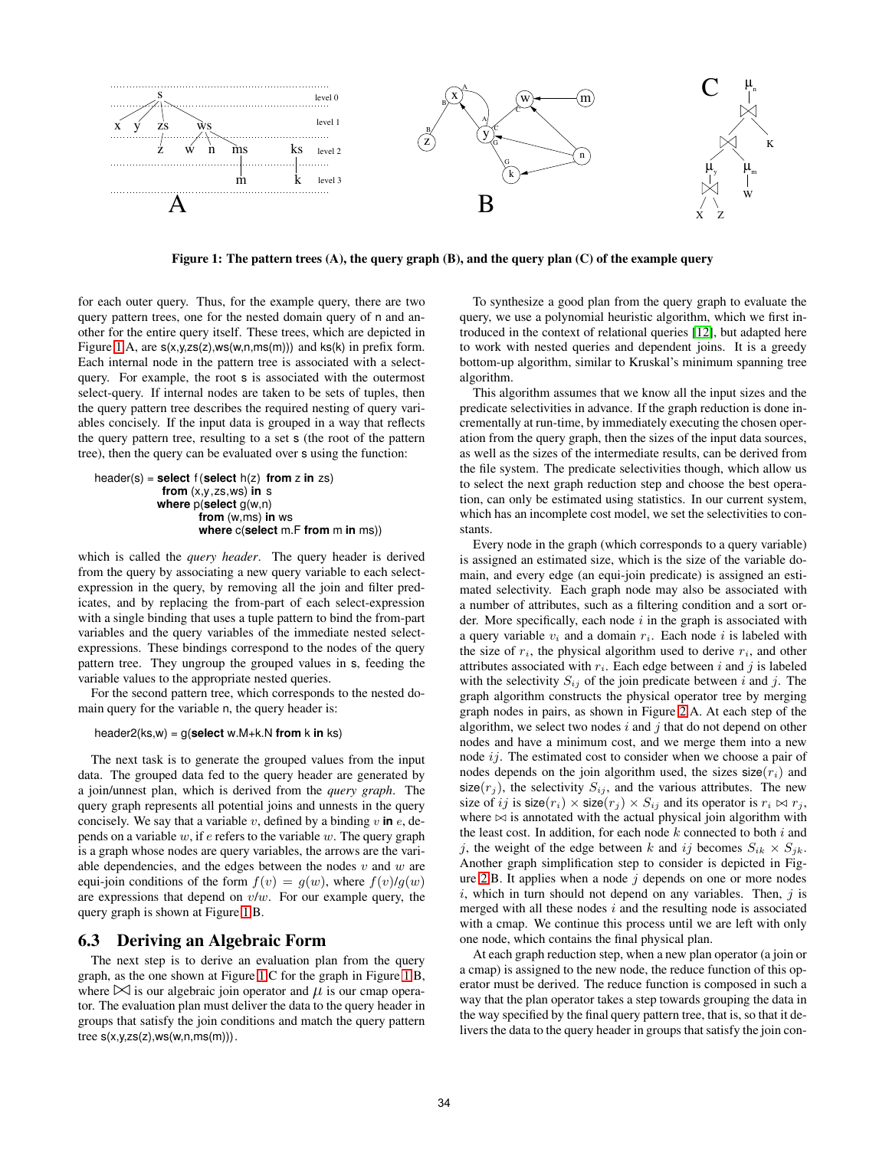<span id="page-8-0"></span>

**Figure 1: The pattern trees (A), the query graph (B), and the query plan (C) of the example query**

for each outer query. Thus, for the example query, there are two query pattern trees, one for the nested domain query of n and another for the entire query itself. These trees, which are depicted in Figure 1.A, are  $s(x,y,zs(z),ws(w,n,ms(m)))$  and  $ks(k)$  in prefix form. Each internal node in the pattern tree is associated with a selectquery. For example, the root s is associated with the outermost select-query. If internal nodes are taken to be sets of tuples, then the query pattern tree describes the required nesting of query variables concisely. If the input data is grouped in a way that reflects the query pattern tree, resulting to a set s (the root of the pattern tree), then the query can be evaluated over s using the function:

$$
\begin{array}{ll}\n\text{header}(s) &= \text{select } f(\text{select } h(z) \text{ from } z \text{ in } zs) \\
& \text{from } (x, y, zs, ws) \text{ in } s \\
& \text{where } p(\text{select } g(w, n) \\
& \text{from } (w, ms) \text{ in } ws \\
& \text{where } c(\text{select m} \cdot F \text{ from } m \text{ in } ms))\n\end{array}
$$

which is called the *query header*. The query header is derived from the query by associating a new query variable to each selectexpression in the query, by removing all the join and filter predicates, and by replacing the from-part of each select-expression with a single binding that uses a tuple pattern to bind the from-part variables and the query variables of the immediate nested selectexpressions. These bindings correspond to the nodes of the query pattern tree. They ungroup the grouped values in s, feeding the variable values to the appropriate nested queries.

For the second pattern tree, which corresponds to the nested domain query for the variable n, the query header is:

#### header2(ks,w) = g(**select** w.M+k.N **from** k **in** ks)

The next task is to generate the grouped values from the input data. The grouped data fed to the query header are generated by a join/unnest plan, which is derived from the *query graph*. The query graph represents all potential joins and unnests in the query concisely. We say that a variable  $v$ , defined by a binding  $v$  in  $e$ , depends on a variable  $w$ , if  $e$  refers to the variable  $w$ . The query graph is a graph whose nodes are query variables, the arrows are the variable dependencies, and the edges between the nodes  $v$  and  $w$  are equi-join conditions of the form  $f(v) = g(w)$ , where  $f(v)/g(w)$ are expressions that depend on  $v/w$ . For our example query, the query graph is shown at Figure 1.B.

#### **6.3 Deriving an Algebraic Form**

The next step is to derive an evaluation plan from the query graph, as the one shown at Figure 1.C for the graph in Figure 1.B, where  $\bowtie$  is our algebraic join operator and  $\mu$  is our cmap operator. The evaluation plan must deliver the data to the query header in groups that satisfy the join conditions and match the query pattern tree  $s(x,y,zs(z),ws(w,n,ms(m)))$ .

To synthesize a good plan from the query graph to evaluate the query, we use a polynomial heuristic algorithm, which we first introduced in the context of relational queries [\[12\]](#page-11-0), but adapted here to work with nested queries and dependent joins. It is a greedy bottom-up algorithm, similar to Kruskal's minimum spanning tree algorithm.

This algorithm assumes that we know all the input sizes and the predicate selectivities in advance. If the graph reduction is done incrementally at run-time, by immediately executing the chosen operation from the query graph, then the sizes of the input data sources, as well as the sizes of the intermediate results, can be derived from the file system. The predicate selectivities though, which allow us to select the next graph reduction step and choose the best operation, can only be estimated using statistics. In our current system, which has an incomplete cost model, we set the selectivities to constants.

Every node in the graph (which corresponds to a query variable) is assigned an estimated size, which is the size of the variable domain, and every edge (an equi-join predicate) is assigned an estimated selectivity. Each graph node may also be associated with a number of attributes, such as a filtering condition and a sort order. More specifically, each node  $i$  in the graph is associated with a query variable  $v_i$  and a domain  $r_i$ . Each node i is labeled with the size of  $r_i$ , the physical algorithm used to derive  $r_i$ , and other attributes associated with  $r_i$ . Each edge between i and j is labeled with the selectivity  $S_{ij}$  of the join predicate between i and j. The graph algorithm constructs the physical operator tree by merging graph nodes in pairs, as shown in Figure [2.](#page-9-0)A. At each step of the algorithm, we select two nodes  $i$  and  $j$  that do not depend on other nodes and have a minimum cost, and we merge them into a new node ij. The estimated cost to consider when we choose a pair of nodes depends on the join algorithm used, the sizes  $size(r_i)$  and size( $r_j$ ), the selectivity  $S_{ij}$ , and the various attributes. The new size of ij is size( $r_i$ ) × size( $r_j$ ) ×  $S_{ij}$  and its operator is  $r_i \bowtie r_j$ , where  $\bowtie$  is annotated with the actual physical join algorithm with the least cost. In addition, for each node  $k$  connected to both  $i$  and j, the weight of the edge between k and ij becomes  $S_{ik} \times S_{jk}$ . Another graph simplification step to consider is depicted in Fig-ure [2.](#page-9-0)B. It applies when a node  $j$  depends on one or more nodes  $i$ , which in turn should not depend on any variables. Then,  $j$  is merged with all these nodes  $i$  and the resulting node is associated with a cmap. We continue this process until we are left with only one node, which contains the final physical plan.

At each graph reduction step, when a new plan operator (a join or a cmap) is assigned to the new node, the reduce function of this operator must be derived. The reduce function is composed in such a way that the plan operator takes a step towards grouping the data in the way specified by the final query pattern tree, that is, so that it delivers the data to the query header in groups that satisfy the join con-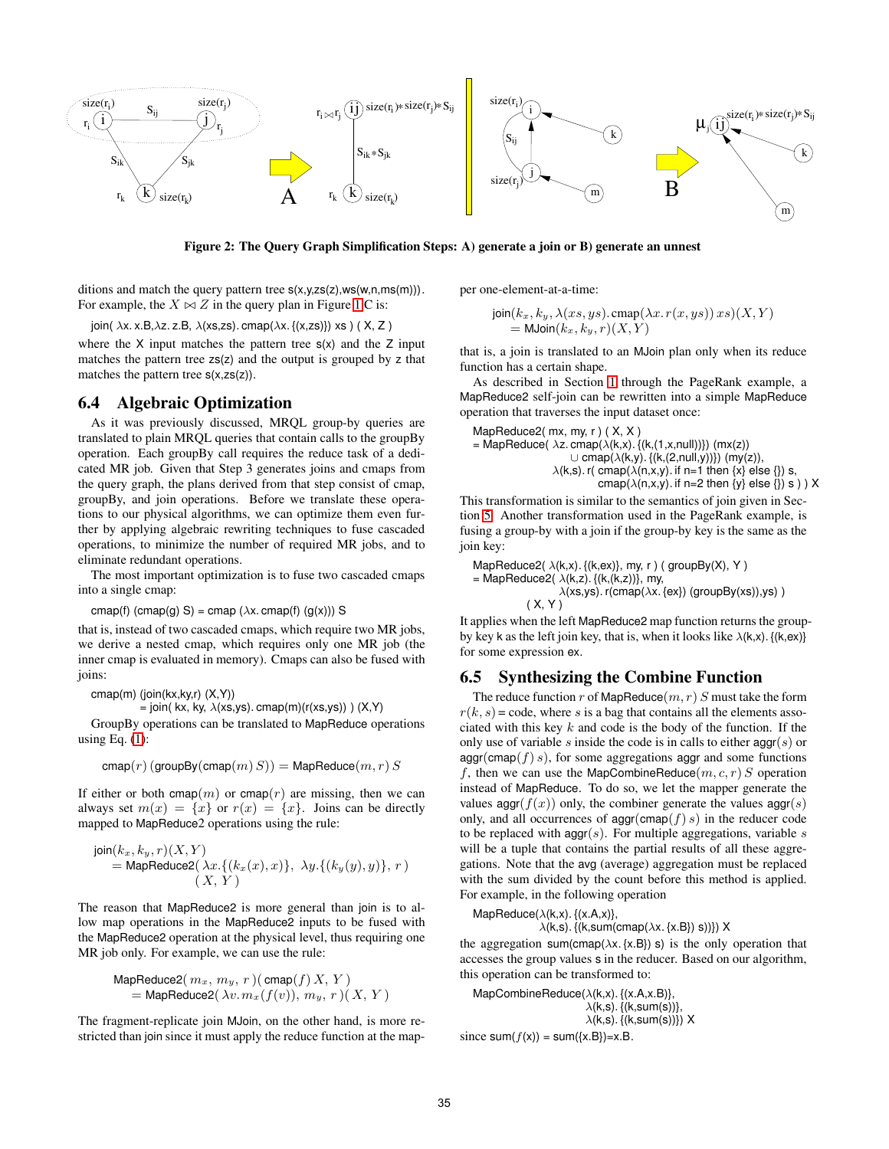<span id="page-9-0"></span>

**Figure 2: The Query Graph Simplification Steps: A) generate a join or B) generate an unnest**

ditions and match the query pattern tree  $s(x,y,zs(z),ws(w,n,ms(m)))$ . For example, the  $X \bowtie Z$  in the query plan in Figure [1.](#page-8-0)C is:

join(  $\lambda$ x. x.B, $\lambda$ z. z.B,  $\lambda$ (xs,zs). cmap( $\lambda$ x. {(x,zs)}) xs) (X, Z)

where the  $X$  input matches the pattern tree  $s(x)$  and the  $Z$  input matches the pattern tree zs(z) and the output is grouped by z that matches the pattern tree  $s(x,zs(z))$ .

## **6.4 Algebraic Optimization**

As it was previously discussed, MRQL group-by queries are translated to plain MRQL queries that contain calls to the groupBy operation. Each groupBy call requires the reduce task of a dedicated MR job. Given that Step 3 generates joins and cmaps from the query graph, the plans derived from that step consist of cmap, groupBy, and join operations. Before we translate these operations to our physical algorithms, we can optimize them even further by applying algebraic rewriting techniques to fuse cascaded operations, to minimize the number of required MR jobs, and to eliminate redundant operations.

The most important optimization is to fuse two cascaded cmaps into a single cmap:

cmap(f) (cmap(g) S) = cmap ( $\lambda$ x. cmap(f) (g(x))) S

that is, instead of two cascaded cmaps, which require two MR jobs, we derive a nested cmap, which requires only one MR job (the inner cmap is evaluated in memory). Cmaps can also be fused with joins:

cmap(m) (join(kx,ky,r) (X,Y))

= join( kx, ky,  $\lambda$ (xs,ys). cmap(m)(r(xs,ys))) (X,Y)

GroupBy operations can be translated to MapReduce operations using Eq.  $(1)$ :

$$
\operatorname{cmap}(r) \left( \operatorname{groupBy}(\operatorname{cmap}(m) S) \right) = \operatorname{MapReduce}(m, r) S
$$

If either or both cmap $(m)$  or cmap $(r)$  are missing, then we can always set  $m(x) = \{x\}$  or  $r(x) = \{x\}$ . Joins can be directly mapped to MapReduce2 operations using the rule:

$$
join(k_x, k_y, r)(X, Y)
$$
  
= MapReduce2( $\lambda x$ .{(k<sub>x</sub>(x), x)},  $\lambda y$ .{(k<sub>y</sub>(y), y)}, r)  
(X, Y)

The reason that MapReduce2 is more general than join is to allow map operations in the MapReduce2 inputs to be fused with the MapReduce2 operation at the physical level, thus requiring one MR job only. For example, we can use the rule:

$$
\begin{array}{l} \textsf{MapReduce2}(\,m_x,\,m_y,\,r\,)(\,\textsf{cmap}(f)\,X,\,Y\,)\\ \textsf{= MapReduce2}(\,\lambda v.\,m_x(f(v)),\,m_y,\,r\,)(\,X,\,Y\,) \end{array}
$$

The fragment-replicate join MJoin, on the other hand, is more restricted than join since it must apply the reduce function at the mapper one-element-at-a-time:

$$
join(k_x, k_y, \lambda(xs, ys).cmp(\lambda x. r(x, ys)) xs)(X, Y)
$$
  
= MJoin(k\_x, k\_y, r)(X, Y)

that is, a join is translated to an MJoin plan only when its reduce function has a certain shape.

As described in Section [1](#page-0-0) through the PageRank example, a MapReduce2 self-join can be rewritten into a simple MapReduce operation that traverses the input dataset once:

MapReduce2(mx, my, r) (X, X)  
= MapReduce( 
$$
\lambda z
$$
. cmap( $\lambda(k,x)$ . {(k,(1,x, null))}) (mx(z))  
  $\cup$  cmap( $\lambda(k,y)$ . {(k,(2, null,y))}) (my(z)),  
  $\lambda(k,s)$ . r( cmap( $\lambda(n,x,y)$ ). if n=1 then {x} else {}) s,  
  $\text{cmap}(\lambda(n,x,y))$ . if n=2 then {y} else {}) s ) X

This transformation is similar to the semantics of join given in Section [5.](#page-6-0) Another transformation used in the PageRank example, is fusing a group-by with a join if the group-by key is the same as the join key:

MapReduce2( $\lambda$ (k,x). {(k,ex)}, my, r ) (groupBy(X), Y) = MapReduce2( $\lambda(k,z)$ . { $(k,(k,z))$ }, my,  $\lambda$ (xs,ys). r(cmap( $\lambda$ x. {ex}) (groupBy(xs)),ys))  $(X, Y)$ 

It applies when the left MapReduce2 map function returns the groupby key k as the left join key, that is, when it looks like  $\lambda(k, x)$ .  $\{(k, e x)\}$ for some expression ex.

# **6.5 Synthesizing the Combine Function**

The reduce function r of MapReduce $(m, r)$  S must take the form  $r(k, s)$  = code, where s is a bag that contains all the elements associated with this key  $k$  and code is the body of the function. If the only use of variable s inside the code is in calls to either  $\text{agg}(s)$  or  $aggr(cmap(f) s)$ , for some aggregations aggr and some functions f, then we can use the MapCombineReduce $(m, c, r)$  S operation instead of MapReduce. To do so, we let the mapper generate the values aggr( $f(x)$ ) only, the combiner generate the values aggr(s) only, and all occurrences of  $\text{agg}(cmap(f) s)$  in the reducer code to be replaced with  $aggr(s)$ . For multiple aggregations, variable s will be a tuple that contains the partial results of all these aggregations. Note that the avg (average) aggregation must be replaced with the sum divided by the count before this method is applied. For example, in the following operation

MapReduce( $\lambda$ (k,x). {(x.A,x)},

 $\lambda(k,s)$ . {(k,sum(cmap( $\lambda x$ . {x.B}) s))}) X

the aggregation sum(cmap( $\lambda x$ . {x.B}) s) is the only operation that accesses the group values s in the reducer. Based on our algorithm, this operation can be transformed to:

MapCombineReduce(λ(k,x). {(x.A,x.B)},  $\lambda(k,s)$ . {(k,sum(s))},  $\lambda(k,s)$ . {(k,sum(s))}) X since  $sum(f(x)) = sum({x.B})=x.B$ .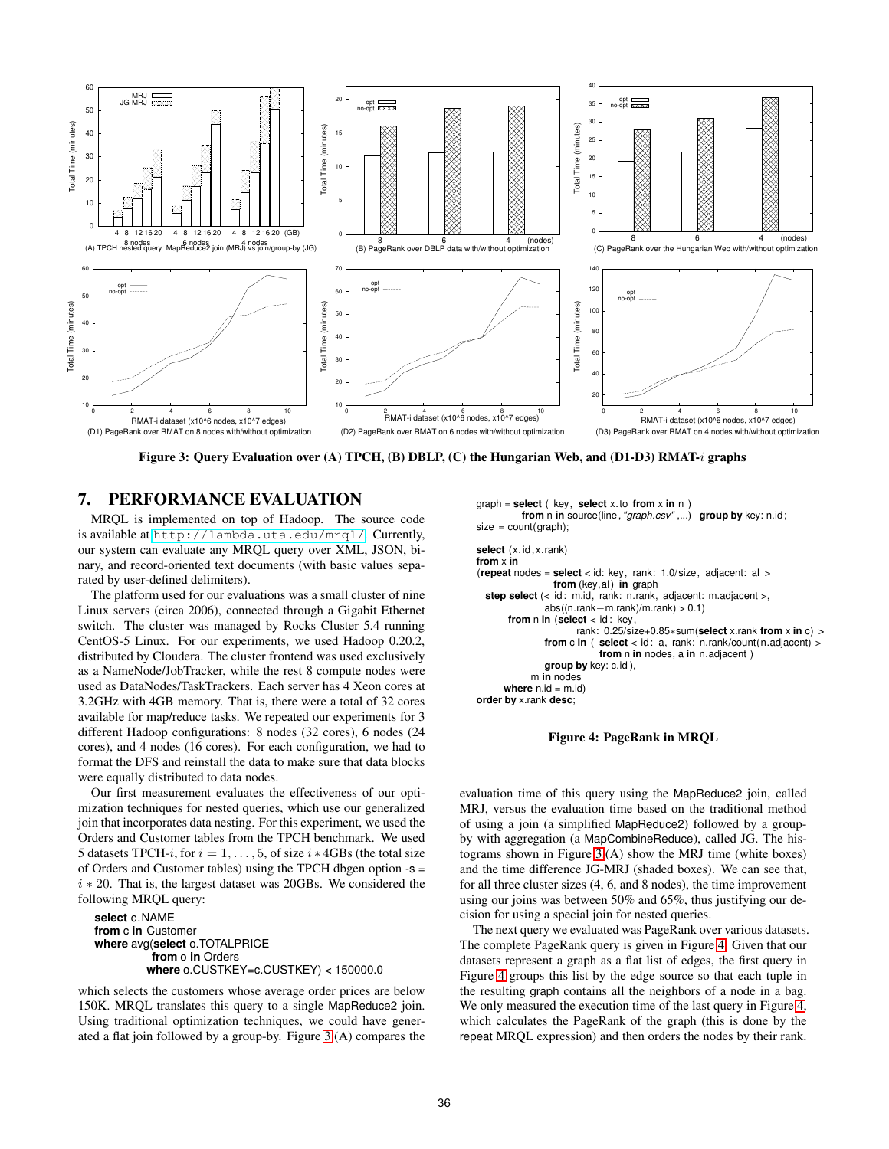<span id="page-10-0"></span>

**Figure 3: Query Evaluation over (A) TPCH, (B) DBLP, (C) the Hungarian Web, and (D1-D3) RMAT-**i **graphs**

## **7. PERFORMANCE EVALUATION**

MRQL is implemented on top of Hadoop. The source code is available at <http://lambda.uta.edu/mrql/>. Currently, our system can evaluate any MRQL query over XML, JSON, binary, and record-oriented text documents (with basic values separated by user-defined delimiters).

The platform used for our evaluations was a small cluster of nine Linux servers (circa 2006), connected through a Gigabit Ethernet switch. The cluster was managed by Rocks Cluster 5.4 running CentOS-5 Linux. For our experiments, we used Hadoop 0.20.2, distributed by Cloudera. The cluster frontend was used exclusively as a NameNode/JobTracker, while the rest 8 compute nodes were used as DataNodes/TaskTrackers. Each server has 4 Xeon cores at 3.2GHz with 4GB memory. That is, there were a total of 32 cores available for map/reduce tasks. We repeated our experiments for 3 different Hadoop configurations: 8 nodes (32 cores), 6 nodes (24 cores), and 4 nodes (16 cores). For each configuration, we had to format the DFS and reinstall the data to make sure that data blocks were equally distributed to data nodes.

Our first measurement evaluates the effectiveness of our optimization techniques for nested queries, which use our generalized join that incorporates data nesting. For this experiment, we used the Orders and Customer tables from the TPCH benchmark. We used 5 datasets TPCH-i, for  $i = 1, \ldots, 5$ , of size  $i * 4GBs$  (the total size of Orders and Customer tables) using the TPCH dbgen option -s = i ∗ 20. That is, the largest dataset was 20GBs. We considered the following MRQL query:

```
select c.NAME
from c in Customer
where avg(select o.TOTALPRICE
         from o in Orders
        where o.CUSTKEY=c.CUSTKEY) < 150000.0
```
which selects the customers whose average order prices are below 150K. MRQL translates this query to a single MapReduce2 join. Using traditional optimization techniques, we could have generated a flat join followed by a group-by. Figure 3.(A) compares the graph = **select** ( key, **select** x.to **from** x **in** n ) **from** n **in** source(line,"graph.csv" ,...) **group by** key: n.id;  $size = count(graph);$ 

```
select (x.id, x.rank)
from x in
(repeat nodes = select < id: key, rank: 1.0/size, adjacent: al >
                from (key,al) in graph
  step select (< id: m.id, rank: n.rank, adjacent: m.adjacent >,
              abs((n.rank-m.rank)/m.rank) > 0.1)from n in (select < id : key,
              rank: 0.25/size+0.85∗sum(select x.rank from x in c) >
                          select < id: a, rank: n.rank/count(n.adjacent) >
                          from n in nodes, a in n.adjacent )
              group by key: c.id ),
           m in nodes
     where n.id = m.idorder by x.rank desc;
```
#### **Figure 4: PageRank in MRQL**

evaluation time of this query using the MapReduce2 join, called MRJ, versus the evaluation time based on the traditional method of using a join (a simplified MapReduce2) followed by a groupby with aggregation (a MapCombineReduce), called JG. The histograms shown in Figure 3.(A) show the MRJ time (white boxes) and the time difference JG-MRJ (shaded boxes). We can see that, for all three cluster sizes (4, 6, and 8 nodes), the time improvement using our joins was between 50% and 65%, thus justifying our decision for using a special join for nested queries.

The next query we evaluated was PageRank over various datasets. The complete PageRank query is given in Figure 4. Given that our datasets represent a graph as a flat list of edges, the first query in Figure 4 groups this list by the edge source so that each tuple in the resulting graph contains all the neighbors of a node in a bag. We only measured the execution time of the last query in Figure 4, which calculates the PageRank of the graph (this is done by the repeat MRQL expression) and then orders the nodes by their rank.